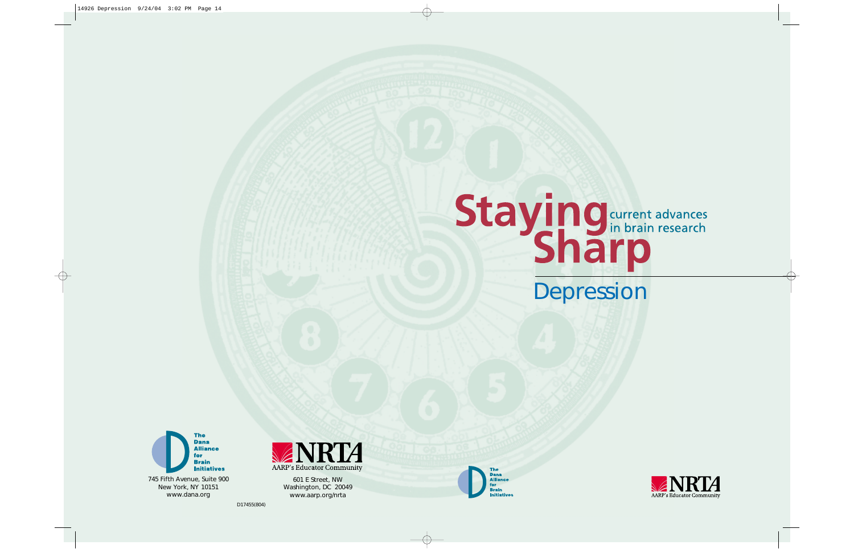D17455(804)











601 E Street, NW Washington, DC 20049 www.aarp.org/nrta



# **Staying** current advances<br> **Sharp**<br>
Depression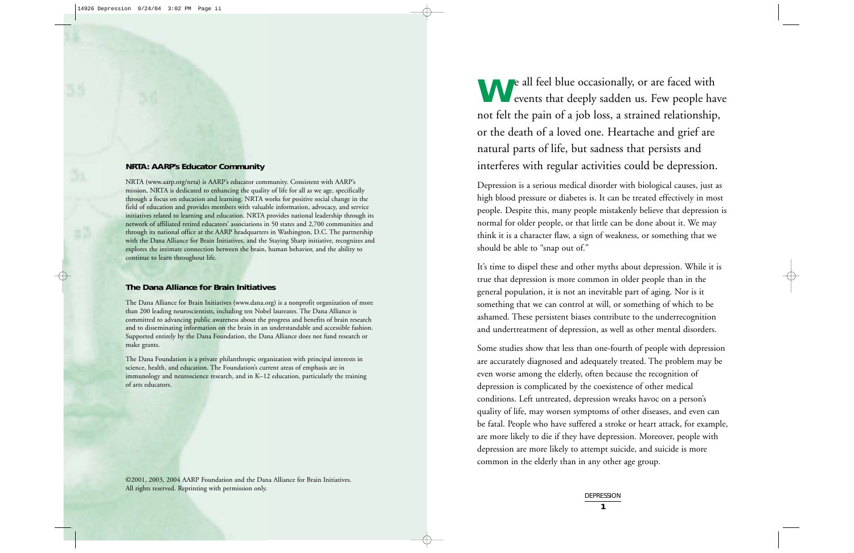**W**e all feel blue occasionally, or are faced with events that deeply sadden us. Few people have not felt the pain of a job loss, a strained relationship, or the death of a loved one. Heartache and grief are natural parts of life, but sadness that persists and interferes with regular activities could be depression.

Depression is a serious medical disorder with biological causes, just as high blood pressure or diabetes is. It can be treated effectively in most people. Despite this, many people mistakenly believe that depression is normal for older people, or that little can be done about it. We may think it is a character flaw, a sign of weakness, or something that we should be able to "snap out of."

> **DEPRESSION 1**

It's time to dispel these and other myths about depression. While it is true that depression is more common in older people than in the general population, it is not an inevitable part of aging. Nor is it something that we can control at will, or something of which to be ashamed. These persistent biases contribute to the underrecognition and undertreatment of depression, as well as other mental disorders.

Some studies show that less than one-fourth of people with depression are accurately diagnosed and adequately treated. The problem may be even worse among the elderly, often because the recognition of depression is complicated by the coexistence of other medical conditions. Left untreated, depression wreaks havoc on a person's quality of life, may worsen symptoms of other diseases, and even can be fatal. People who have suffered a stroke or heart attack, for example, are more likely to die if they have depression. Moreover, people with depression are more likely to attempt suicide, and suicide is more common in the elderly than in any other age group.

#### **NRTA: AARP's Educator Community**

NRTA (www.aarp.org/nrta) is AARP's educator community. Consistent with AARP's mission, NRTA is dedicated to enhancing the quality of life for all as we age, specifically through a focus on education and learning. NRTA works for positive social change in the field of education and provides members with valuable information, advocacy, and service initiatives related to learning and education. NRTA provides national leadership through its network of affiliated retired educators' associations in 50 states and 2,700 communities and through its national office at the AARP headquarters in Washington, D.C. The partnership with the Dana Alliance for Brain Initiatives, and the Staying Sharp initiative, recognizes and explores the intimate connection between the brain, human behavior, and the ability to continue to learn throughout life.

#### **The Dana Alliance for Brain Initiatives**

The Dana Alliance for Brain Initiatives (www.dana.org) is a nonprofit organization of more than 200 leading neuroscientists, including ten Nobel laureates. The Dana Alliance is committed to advancing public awareness about the progress and benefits of brain research and to disseminating information on the brain in an understandable and accessible fashion. Supported entirely by the Dana Foundation, the Dana Alliance does not fund research or make grants.

The Dana Foundation is a private philanthropic organization with principal interests in science, health, and education. The Foundation's current areas of emphasis are in immunology and neuroscience research, and in K–12 education, particularly the training of arts educators.

©2001, 2003, 2004 AARP Foundation and the Dana Alliance for Brain Initiatives. All rights reserved. Reprinting with permission only.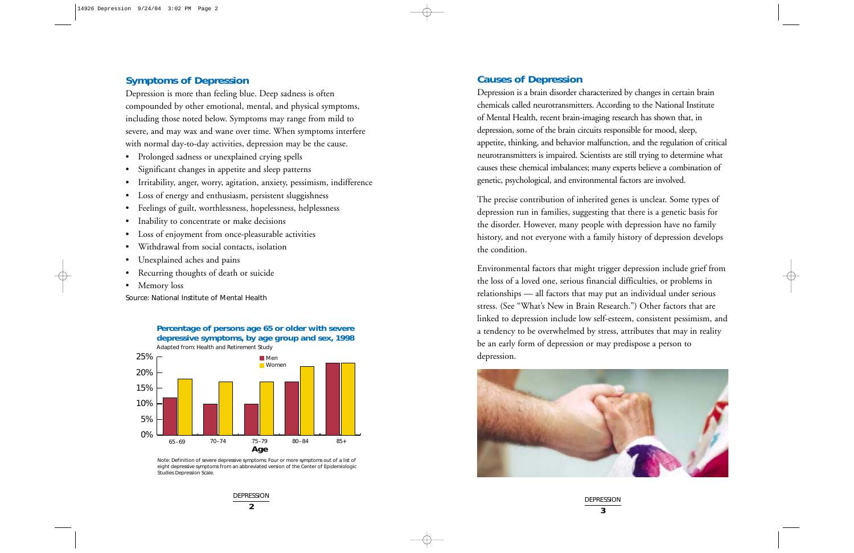**Percentage of persons age 65 or older with severe depressive symptoms, by age group and sex, 1998** Adapted from: Health and Retirement Study



Note: Definition of severe depressive symptoms: Four or more symptoms out of a list of eight depressive symptoms from an abbreviated version of the Center of Epidemiologic Studies Depression Scale.

DEPRESSION **2**

# **Causes of Depression**

Depression is a brain disorder characterized by changes in certain brain chemicals called neurotransmitters. According to the National Institute of Mental Health, recent brain-imaging research has shown that, in depression, some of the brain circuits responsible for mood, sleep, appetite, thinking, and behavior malfunction, and the regulation of critical neurotransmitters is impaired. Scientists are still trying to determine what causes these chemical imbalances; many experts believe a combination of genetic, psychological, and environmental factors are involved.

The precise contribution of inherited genes is unclear. Some types of depression run in families, suggesting that there is a genetic basis for the disorder. However, many people with depression have no family history, and not everyone with a family history of depression develops the condition.

Environmental factors that might trigger depression include grief from the loss of a loved one, serious financial difficulties, or problems in relationships — all factors that may put an individual under serious stress. (See "What's New in Brain Research.") Other factors that are linked to depression include low self-esteem, consistent pessimism, and a tendency to be overwhelmed by stress, attributes that may in reality be an early form of depression or may predispose a person to depression.



DEPRESSION **3**

## **Symptoms of Depression**

Depression is more than feeling blue. Deep sadness is often compounded by other emotional, mental, and physical symptoms, including those noted below. Symptoms may range from mild to severe, and may wax and wane over time. When symptoms interfere with normal day-to-day activities, depression may be the cause.

- Prolonged sadness or unexplained crying spells
- Significant changes in appetite and sleep patterns
- Irritability, anger, worry, agitation, anxiety, pessimism, indifference
- Loss of energy and enthusiasm, persistent sluggishness
- Feelings of guilt, worthlessness, hopelessness, helplessness
- Inability to concentrate or make decisions
- •Loss of enjoyment from once-pleasurable activities
- Withdrawal from social contacts, isolation
- •Unexplained aches and pains
- •Recurring thoughts of death or suicide
- Memory loss

Source: National Institute of Mental Health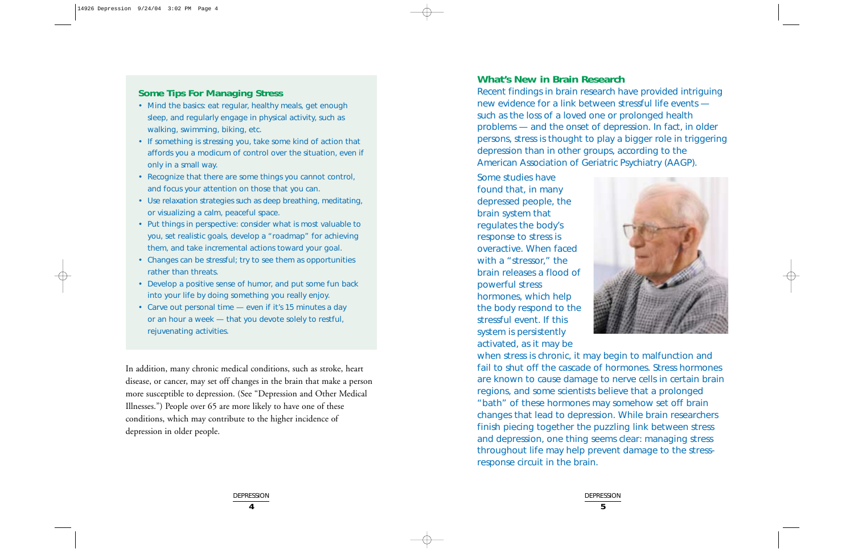# **What's New in Brain Research**

Recent findings in brain research have provided intriguing new evidence for a link between stressful life events such as the loss of a loved one or prolonged health problems — and the onset of depression. In fact, in older persons, stress is thought to play a bigger role in triggering depression than in other groups, according to the American Association of Geriatric Psychiatry (AAGP).

Some studies have found that, in many depressed people, the brain system that regulates the body's response to stress is overactive. When faced with a "stressor," the brain releases a flood of powerful stress hormones, which help the body respond to the stressful event. If this system is persistently activated, as it may be



when stress is chronic, it may begin to malfunction and fail to shut off the cascade of hormones. Stress hormones are known to cause damage to nerve cells in certain brain regions, and some scientists believe that a prolonged "bath" of these hormones may somehow set off brain changes that lead to depression. While brain researchers finish piecing together the puzzling link between stress and depression, one thing seems clear: managing stress throughout life may help prevent damage to the stressresponse circuit in the brain.

In addition, many chronic medical conditions, such as stroke, heart disease, or cancer, may set off changes in the brain that make a person more susceptible to depression. (See "Depression and Other Medical Illnesses.") People over 65 are more likely to have one of these conditions, which may contribute to the higher incidence of depression in older people.

> DEPRESSION **4**

# **Some Tips For Managing Stress**

- Mind the basics: eat regular, healthy meals, get enough sleep, and regularly engage in physical activity, such as walking, swimming, biking, etc.
- If something is stressing you, take some kind of action that affords you a modicum of control over the situation, even if only in a small way.
- Recognize that there are some things you cannot control, and focus your attention on those that you can.
- Use relaxation strategies such as deep breathing, meditating, or visualizing a calm, peaceful space.
- Put things in perspective: consider what is most valuable to you, set realistic goals, develop a "roadmap" for achieving them, and take incremental actions toward your goal.
- Changes can be stressful; try to see them as opportunities rather than threats.
- Develop a positive sense of humor, and put some fun back into your life by doing something you really enjoy.
- Carve out personal time even if it's 15 minutes a day or an hour a week — that you devote solely to restful, rejuvenating activities.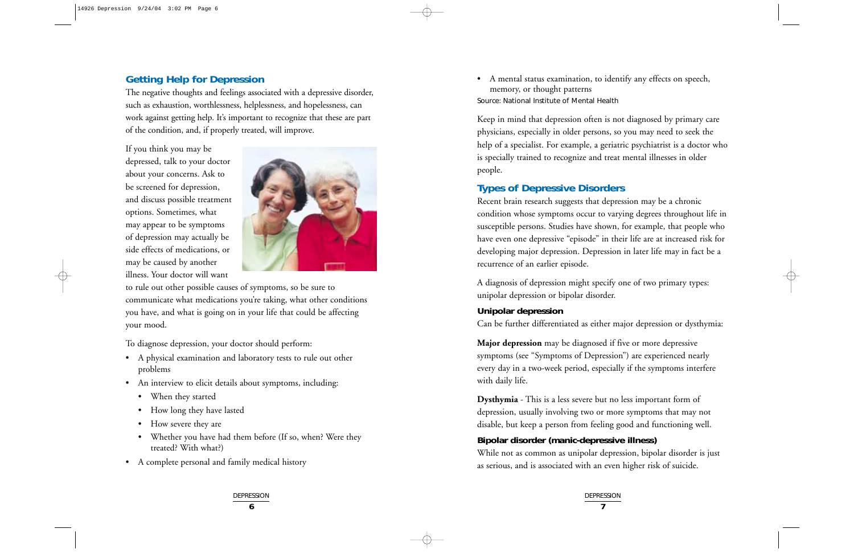• A mental status examination, to identify any effects on speech, memory, or thought patterns Source: National Institute of Mental Health

Keep in mind that depression often is not diagnosed by primary care physicians, especially in older persons, so you may need to seek the help of a specialist. For example, a geriatric psychiatrist is a doctor who is specially trained to recognize and treat mental illnesses in older people.

# **Types of Depressive Disorders**

Recent brain research suggests that depression may be a chronic condition whose symptoms occur to varying degrees throughout life in susceptible persons. Studies have shown, for example, that people who have even one depressive "episode" in their life are at increased risk for developing major depression. Depression in later life may in fact be a recurrence of an earlier episode.

A diagnosis of depression might specify one of two primary types: unipolar depression or bipolar disorder.

## **Unipolar depression**

Can be further differentiated as either major depression or dysthymia:

**Major depression** may be diagnosed if five or more depressive symptoms (see "Symptoms of Depression") are experienced nearly every day in a two-week period, especially if the symptoms interfere with daily life.

**Dysthymia** - This is a less severe but no less important form of depression, usually involving two or more symptoms that may not disable, but keep a person from feeling good and functioning well.

# **Bipolar disorder (manic-depressive illness)** While not as common as unipolar depression, bipolar disorder is just as serious, and is associated with an even higher risk of suicide.

DEPRESSION **7**

## **Getting Help for Depression**

The negative thoughts and feelings associated with a depressive disorder, such as exhaustion, worthlessness, helplessness, and hopelessness, can work against getting help. It's important to recognize that these are part of the condition, and, if properly treated, will improve.

If you think you may be depressed, talk to your doctor about your concerns. Ask to be screened for depression, and discuss possible treatment options. Sometimes, what may appear to be symptoms of depression may actually be side effects of medications, or may be caused by another illness. Your doctor will want



to rule out other possible causes of symptoms, so be sure to communicate what medications you're taking, what other conditions you have, and what is going on in your life that could be affecting your mood.

To diagnose depression, your doctor should perform:

- A physical examination and laboratory tests to rule out other problems
- An interview to elicit details about symptoms, including:
	- When they started
	- How long they have lasted
	- How severe they are
	- Whether you have had them before (If so, when? Were they treated? With what?)
- A complete personal and family medical history
	- DEPRESSION **6**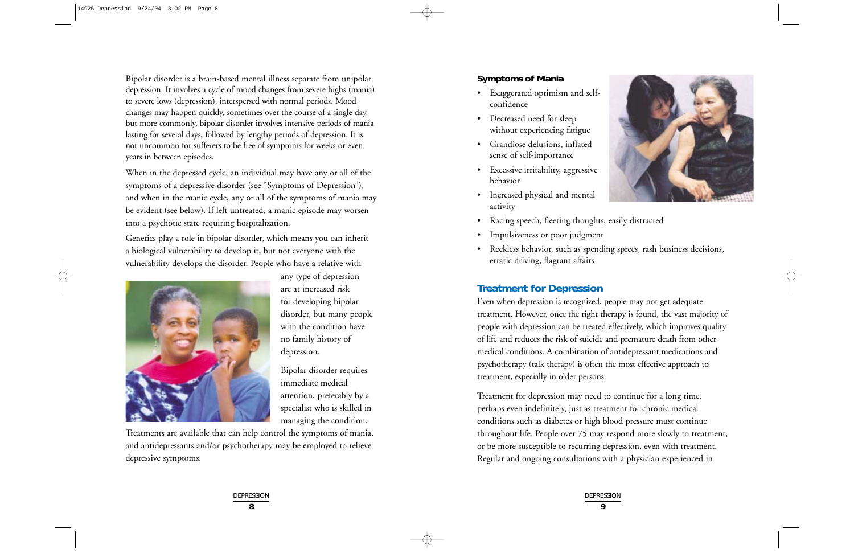#### **Symptoms of Mania**

- Exaggerated optimism and selfconfidence
- Decreased need for sleep without experiencing fatigue
- Grandiose delusions, inflated sense of self-importance
- Excessive irritability, aggressive behavior
- Increased physical and mental activity
- Racing speech, fleeting thoughts, easily distracted
- •Impulsiveness or poor judgment
- Reckless behavior, such as spending sprees, rash business decisions, erratic driving, flagrant affairs

# **Treatment for Depression**

Even when depression is recognized, people may not get adequate treatment. However, once the right therapy is found, the vast majority of people with depression can be treated effectively, which improves quality of life and reduces the risk of suicide and premature death from other medical conditions. A combination of antidepressant medications and psychotherapy (talk therapy) is often the most effective approach to treatment, especially in older persons.

Treatment for depression may need to continue for a long time, perhaps even indefinitely, just as treatment for chronic medical conditions such as diabetes or high blood pressure must continue throughout life. People over 75 may respond more slowly to treatment, or be more susceptible to recurring depression, even with treatment. Regular and ongoing consultations with a physician experienced in



Bipolar disorder is a brain-based mental illness separate from unipolar depression. It involves a cycle of mood changes from severe highs (mania) to severe lows (depression), interspersed with normal periods. Mood changes may happen quickly, sometimes over the course of a single day, but more commonly, bipolar disorder involves intensive periods of mania lasting for several days, followed by lengthy periods of depression. It is not uncommon for sufferers to be free of symptoms for weeks or even years in between episodes.

When in the depressed cycle, an individual may have any or all of the symptoms of a depressive disorder (see "Symptoms of Depression"), and when in the manic cycle, any or all of the symptoms of mania may be evident (see below). If left untreated, a manic episode may worsen into a psychotic state requiring hospitalization.

Genetics play a role in bipolar disorder, which means you can inherit a biological vulnerability to develop it, but not everyone with the vulnerability develops the disorder. People who have a relative with



any type of depression are at increased risk for developing bipolar disorder, but many people with the condition have no family history of depression.

Bipolar disorder requires immediate medical attention, preferably by a specialist who is skilled in managing the condition.

Treatments are available that can help control the symptoms of mania, and antidepressants and/or psychotherapy may be employed to relieve depressive symptoms.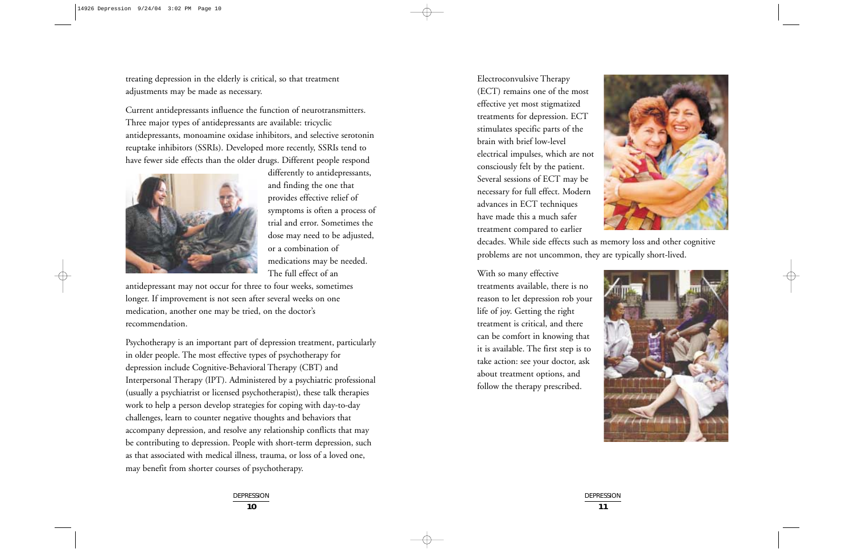Electroconvulsive Therapy (ECT) remains one of the most effective yet most stigmatized treatments for depression. ECT stimulates specific parts of the brain with brief low-level electrical impulses, which are not consciously felt by the patient. Several sessions of ECT may be necessary for full effect. Modern advances in ECT techniques have made this a much safer treatment compared to earlier

decades. While side effects such as memory loss and other cognitive problems are not uncommon, they are typically short-lived.

With so many effective treatments available, there is no reason to let depression rob your life of joy. Getting the right treatment is critical, and there can be comfort in knowing that it is available. The first step is to take action: see your doctor, ask about treatment options, and follow the therapy prescribed.







treating depression in the elderly is critical, so that treatment adjustments may be made as necessary.

Current antidepressants influence the function of neurotransmitters. Three major types of antidepressants are available: tricyclic antidepressants, monoamine oxidase inhibitors, and selective serotonin reuptake inhibitors (SSRIs). Developed more recently, SSRIs tend to have fewer side effects than the older drugs. Different people respond



differently to antidepressants, and finding the one that provides effective relief of symptoms is often a process of trial and error. Sometimes the dose may need to be adjusted, or a combination of medications may be needed. The full effect of an

antidepressant may not occur for three to four weeks, sometimes longer. If improvement is not seen after several weeks on one medication, another one may be tried, on the doctor's recommendation.

Psychotherapy is an important part of depression treatment, particularly in older people. The most effective types of psychotherapy for depression include Cognitive-Behavioral Therapy (CBT) and Interpersonal Therapy (IPT). Administered by a psychiatric professional (usually a psychiatrist or licensed psychotherapist), these talk therapies work to help a person develop strategies for coping with day-to-day challenges, learn to counter negative thoughts and behaviors that accompany depression, and resolve any relationship conflicts that may be contributing to depression. People with short-term depression, such as that associated with medical illness, trauma, or loss of a loved one, may benefit from shorter courses of psychotherapy.

> DEPRESSION **10**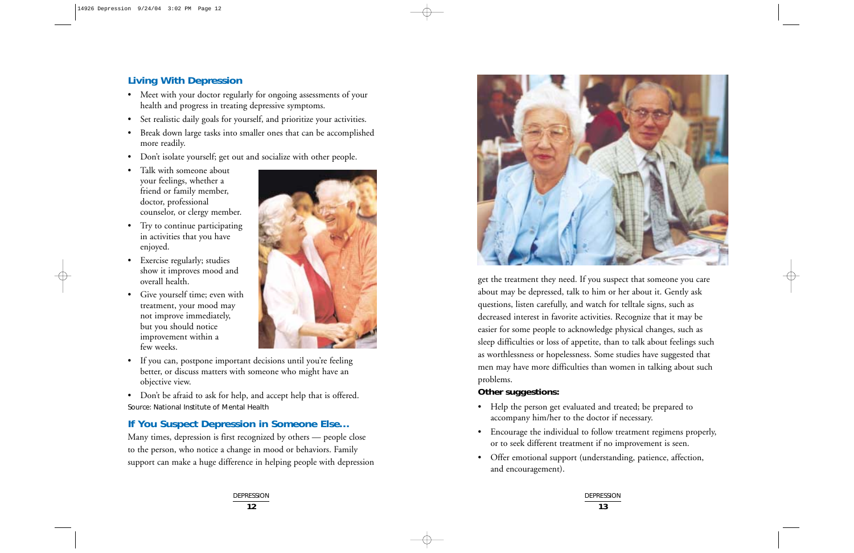



DEPRESSION **13**

# **Living With Depression**

- Meet with your doctor regularly for ongoing assessments of your health and progress in treating depressive symptoms.
- Set realistic daily goals for yourself, and prioritize your activities.
- Break down large tasks into smaller ones that can be accomplished more readily.
- Don't isolate yourself; get out and socialize with other people.
- Talk with someone about your feelings, whether a friend or family member, doctor, professional counselor, or clergy member.
- Try to continue participating in activities that you have enjoyed.
- Exercise regularly; studies show it improves mood and overall health.
- Give yourself time; even with treatment, your mood may not improve immediately, but you should notice improvement within a few weeks.



• If you can, postpone important decisions until you're feeling better, or discuss matters with someone who might have an objective view.

• Don't be afraid to ask for help, and accept help that is offered. Source: National Institute of Mental Health

# **If You Suspect Depression in Someone Else…**

Many times, depression is first recognized by others — people close to the person, who notice a change in mood or behaviors. Family support can make a huge difference in helping people with depression

get the treatment they need. If you suspect that someone you care about may be depressed, talk to him or her about it. Gently ask questions, listen carefully, and watch for telltale signs, such as decreased interest in favorite activities. Recognize that it may be easier for some people to acknowledge physical changes, such as sleep difficulties or loss of appetite, than to talk about feelings such as worthlessness or hopelessness. Some studies have suggested that men may have more difficulties than women in talking about such problems.

### **Other suggestions:**

- Help the person get evaluated and treated; be prepared to accompany him/her to the doctor if necessary.
- Encourage the individual to follow treatment regimens properly, or to seek different treatment if no improvement is seen.
- • Offer emotional support (understanding, patience, affection, and encouragement).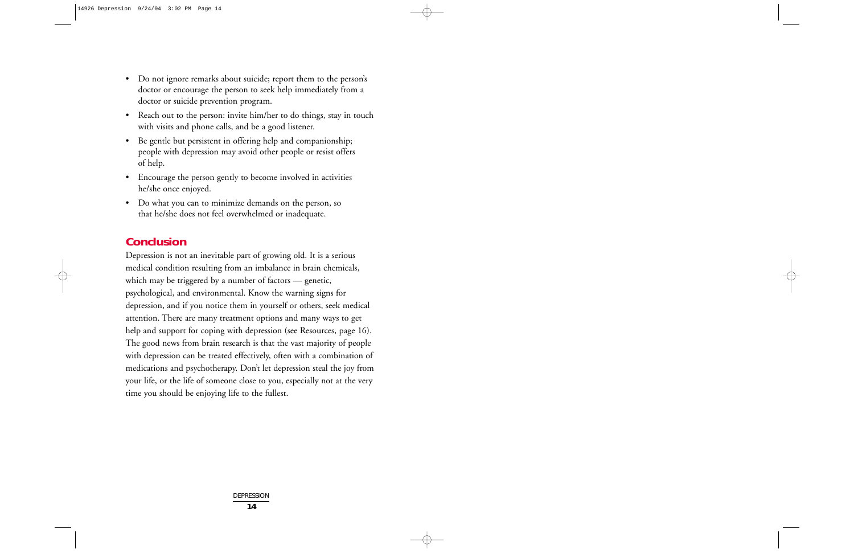- Do not ignore remarks about suicide; report them to the person's doctor or encourage the person to seek help immediately from a doctor or suicide prevention program.
- Reach out to the person: invite him/her to do things, stay in touch with visits and phone calls, and be a good listener.
- Be gentle but persistent in offering help and companionship; people with depression may avoid other people or resist offers of help.
- Encourage the person gently to become involved in activities he/she once enjoyed.
- Do what you can to minimize demands on the person, so that he/she does not feel overwhelmed or inadequate.

# **Conclusion**

Depression is not an inevitable part of growing old. It is a serious medical condition resulting from an imbalance in brain chemicals, which may be triggered by a number of factors — genetic, psychological, and environmental. Know the warning signs for depression, and if you notice them in yourself or others, seek medical attention. There are many treatment options and many ways to get help and support for coping with depression (see Resources, page 16). The good news from brain research is that the vast majority of people with depression can be treated effectively, often with a combination of medications and psychotherapy. Don't let depression steal the joy from your life, or the life of someone close to you, especially not at the very time you should be enjoying life to the fullest.

> DEPRESSION **14**